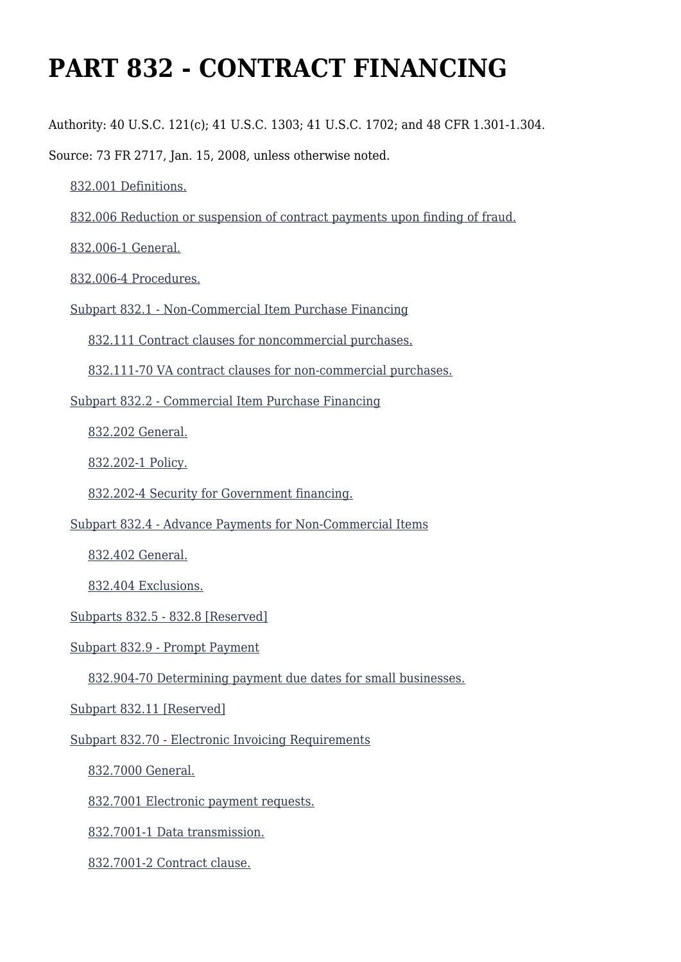# **PART 832 - CONTRACT FINANCING**

Authority: 40 U.S.C. 121(c); 41 U.S.C. 1303; 41 U.S.C. 1702; and 48 CFR 1.301-1.304.

Source: 73 FR 2717, Jan. 15, 2008, unless otherwise noted.

 [832.001 Definitions.](https://www.acquisition.gov/%5Brp:link:vaar-part-832%5D#Section_832_001_T48_5021329011) [832.006 Reduction or suspension of contract payments upon finding of fraud.](https://www.acquisition.gov/%5Brp:link:vaar-part-832%5D#Section_832_006_T48_5021329012) [832.006-1 General.](https://www.acquisition.gov/%5Brp:link:vaar-part-832%5D#Section_832_006_1_T48_5021329013) [832.006-4 Procedures.](https://www.acquisition.gov/%5Brp:link:vaar-part-832%5D#Section_832_006_4_T48_5021329014) [Subpart 832.1 - Non-Commercial Item Purchase Financing](https://www.acquisition.gov/%5Brp:link:vaar-part-832%5D#Subpart_832_1_T48_50213291) [832.111 Contract clauses for noncommercial purchases.](https://www.acquisition.gov/%5Brp:link:vaar-part-832%5D#Section_832_111_T48_5021329111) [832.111-70 VA contract clauses for non-commercial purchases.](https://www.acquisition.gov/%5Brp:link:vaar-part-832%5D#Section_832_111_70_T48_5021329112) [Subpart 832.2 - Commercial Item Purchase Financing](https://www.acquisition.gov/%5Brp:link:vaar-part-832%5D#Subpart_832_2_T48_50213292) [832.202 General.](https://www.acquisition.gov/%5Brp:link:vaar-part-832%5D#Section_832_202_T48_5021329211) [832.202-1 Policy.](https://www.acquisition.gov/%5Brp:link:vaar-part-832%5D#Section_832_202_1_T48_5021329212) [832.202-4 Security for Government financing.](https://www.acquisition.gov/%5Brp:link:vaar-part-832%5D#Section_832_202_4_T48_5021329213) [Subpart 832.4 - Advance Payments for Non-Commercial Items](https://www.acquisition.gov/%5Brp:link:vaar-part-832%5D#Subpart_832_4_T48_50213293) [832.402 General.](https://www.acquisition.gov/%5Brp:link:vaar-part-832%5D#Section_832_402_T48_5021329311) [832.404 Exclusions.](https://www.acquisition.gov/%5Brp:link:vaar-part-832%5D#Section_832_404_T48_5021329312) [Subparts 832.5 - 832.8 \[Reserved\]](https://www.acquisition.gov/%5Brp:link:vaar-part-832%5D#Subpart_832_5_T48_50213294) [Subpart 832.9 - Prompt Payment](https://www.acquisition.gov/%5Brp:link:vaar-part-832%5D#Subpart_832_9_T48_50213295) [832.904-70 Determining payment due dates for small businesses.](https://www.acquisition.gov/%5Brp:link:vaar-part-832%5D#Section_832_904_70_T48_5021329511)

[Subpart 832.11 \[Reserved\]](https://www.acquisition.gov/%5Brp:link:vaar-part-832%5D#Subpart_832_11_T48_50213296)

[Subpart 832.70 - Electronic Invoicing Requirements](https://www.acquisition.gov/%5Brp:link:vaar-part-832%5D#Subpart_832_70_T48_50213297)

[832.7000 General.](https://www.acquisition.gov/%5Brp:link:vaar-part-832%5D#Section_832_7000_T48_5021329711)

[832.7001 Electronic payment requests.](https://www.acquisition.gov/%5Brp:link:vaar-part-832%5D#Section_832_7001_T48_5021329712)

[832.7001-1 Data transmission.](https://www.acquisition.gov/%5Brp:link:vaar-part-832%5D#Section_832_7001_1_T48_5021329713)

[832.7001-2 Contract clause.](https://www.acquisition.gov/%5Brp:link:vaar-part-832%5D#Section_832_7001_2_T48_5021329714)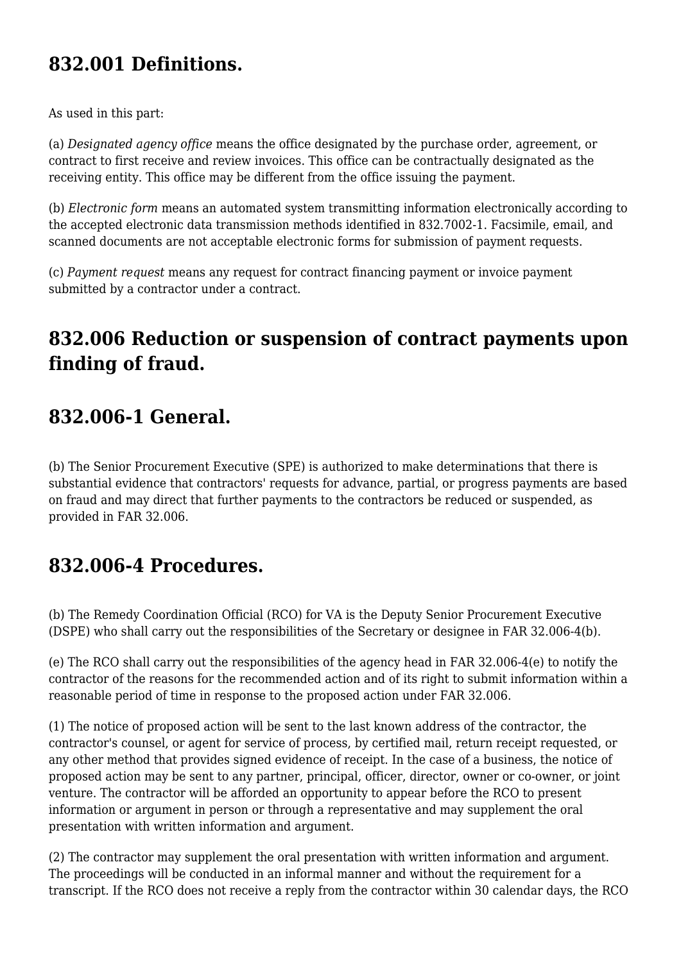# **832.001 Definitions.**

As used in this part:

(a) *Designated agency office* means the office designated by the purchase order, agreement, or contract to first receive and review invoices. This office can be contractually designated as the receiving entity. This office may be different from the office issuing the payment.

(b) *Electronic form* means an automated system transmitting information electronically according to the accepted electronic data transmission methods identified in 832.7002-1. Facsimile, email, and scanned documents are not acceptable electronic forms for submission of payment requests.

(c) *Payment request* means any request for contract financing payment or invoice payment submitted by a contractor under a contract.

### **832.006 Reduction or suspension of contract payments upon finding of fraud.**

### **832.006-1 General.**

(b) The Senior Procurement Executive (SPE) is authorized to make determinations that there is substantial evidence that contractors' requests for advance, partial, or progress payments are based on fraud and may direct that further payments to the contractors be reduced or suspended, as provided in FAR 32.006.

### **832.006-4 Procedures.**

(b) The Remedy Coordination Official (RCO) for VA is the Deputy Senior Procurement Executive (DSPE) who shall carry out the responsibilities of the Secretary or designee in FAR 32.006-4(b).

(e) The RCO shall carry out the responsibilities of the agency head in FAR 32.006-4(e) to notify the contractor of the reasons for the recommended action and of its right to submit information within a reasonable period of time in response to the proposed action under FAR 32.006.

(1) The notice of proposed action will be sent to the last known address of the contractor, the contractor's counsel, or agent for service of process, by certified mail, return receipt requested, or any other method that provides signed evidence of receipt. In the case of a business, the notice of proposed action may be sent to any partner, principal, officer, director, owner or co-owner, or joint venture. The contractor will be afforded an opportunity to appear before the RCO to present information or argument in person or through a representative and may supplement the oral presentation with written information and argument.

(2) The contractor may supplement the oral presentation with written information and argument. The proceedings will be conducted in an informal manner and without the requirement for a transcript. If the RCO does not receive a reply from the contractor within 30 calendar days, the RCO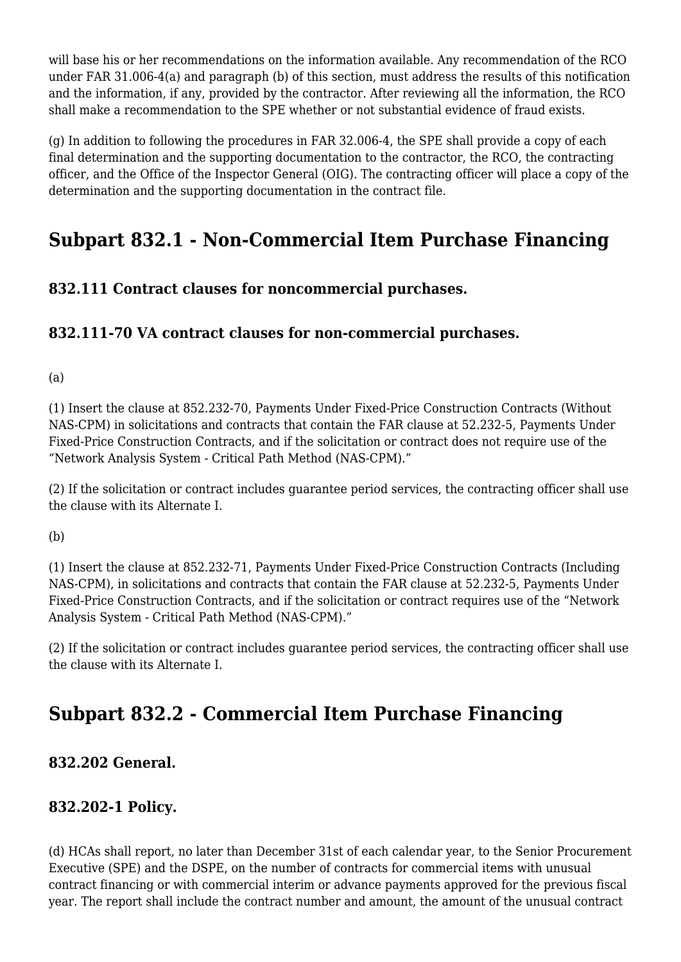will base his or her recommendations on the information available. Any recommendation of the RCO under FAR 31.006-4(a) and paragraph (b) of this section, must address the results of this notification and the information, if any, provided by the contractor. After reviewing all the information, the RCO shall make a recommendation to the SPE whether or not substantial evidence of fraud exists.

(g) In addition to following the procedures in FAR 32.006-4, the SPE shall provide a copy of each final determination and the supporting documentation to the contractor, the RCO, the contracting officer, and the Office of the Inspector General (OIG). The contracting officer will place a copy of the determination and the supporting documentation in the contract file.

# **Subpart 832.1 - Non-Commercial Item Purchase Financing**

### **832.111 Contract clauses for noncommercial purchases.**

#### **832.111-70 VA contract clauses for non-commercial purchases.**

(a)

(1) Insert the clause at 852.232-70, Payments Under Fixed-Price Construction Contracts (Without NAS-CPM) in solicitations and contracts that contain the FAR clause at 52.232-5, Payments Under Fixed-Price Construction Contracts, and if the solicitation or contract does not require use of the "Network Analysis System - Critical Path Method (NAS-CPM)."

(2) If the solicitation or contract includes guarantee period services, the contracting officer shall use the clause with its Alternate I.

(b)

(1) Insert the clause at 852.232-71, Payments Under Fixed-Price Construction Contracts (Including NAS-CPM), in solicitations and contracts that contain the FAR clause at 52.232-5, Payments Under Fixed-Price Construction Contracts, and if the solicitation or contract requires use of the "Network Analysis System - Critical Path Method (NAS-CPM)."

(2) If the solicitation or contract includes guarantee period services, the contracting officer shall use the clause with its Alternate I.

# **Subpart 832.2 - Commercial Item Purchase Financing**

### **832.202 General.**

### **832.202-1 Policy.**

(d) HCAs shall report, no later than December 31st of each calendar year, to the Senior Procurement Executive (SPE) and the DSPE, on the number of contracts for commercial items with unusual contract financing or with commercial interim or advance payments approved for the previous fiscal year. The report shall include the contract number and amount, the amount of the unusual contract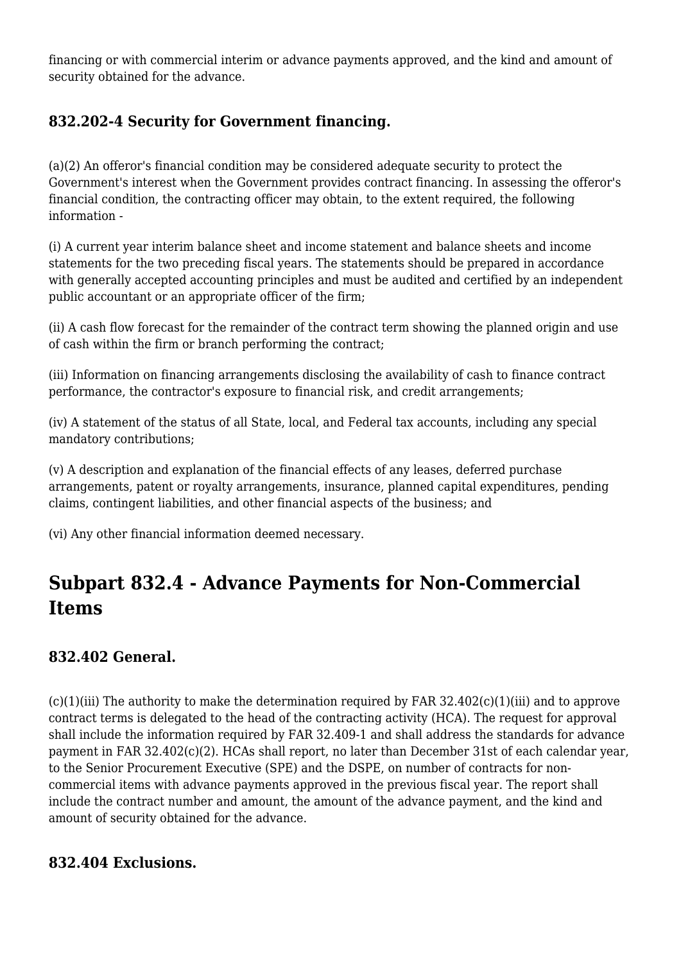financing or with commercial interim or advance payments approved, and the kind and amount of security obtained for the advance.

#### **832.202-4 Security for Government financing.**

(a)(2) An offeror's financial condition may be considered adequate security to protect the Government's interest when the Government provides contract financing. In assessing the offeror's financial condition, the contracting officer may obtain, to the extent required, the following information -

(i) A current year interim balance sheet and income statement and balance sheets and income statements for the two preceding fiscal years. The statements should be prepared in accordance with generally accepted accounting principles and must be audited and certified by an independent public accountant or an appropriate officer of the firm;

(ii) A cash flow forecast for the remainder of the contract term showing the planned origin and use of cash within the firm or branch performing the contract;

(iii) Information on financing arrangements disclosing the availability of cash to finance contract performance, the contractor's exposure to financial risk, and credit arrangements;

(iv) A statement of the status of all State, local, and Federal tax accounts, including any special mandatory contributions;

(v) A description and explanation of the financial effects of any leases, deferred purchase arrangements, patent or royalty arrangements, insurance, planned capital expenditures, pending claims, contingent liabilities, and other financial aspects of the business; and

(vi) Any other financial information deemed necessary.

# **Subpart 832.4 - Advance Payments for Non-Commercial Items**

### **832.402 General.**

 $(c)(1)(iii)$  The authority to make the determination required by FAR 32.402 $(c)(1)(iii)$  and to approve contract terms is delegated to the head of the contracting activity (HCA). The request for approval shall include the information required by FAR 32.409-1 and shall address the standards for advance payment in FAR 32.402(c)(2). HCAs shall report, no later than December 31st of each calendar year, to the Senior Procurement Executive (SPE) and the DSPE, on number of contracts for noncommercial items with advance payments approved in the previous fiscal year. The report shall include the contract number and amount, the amount of the advance payment, and the kind and amount of security obtained for the advance.

#### **832.404 Exclusions.**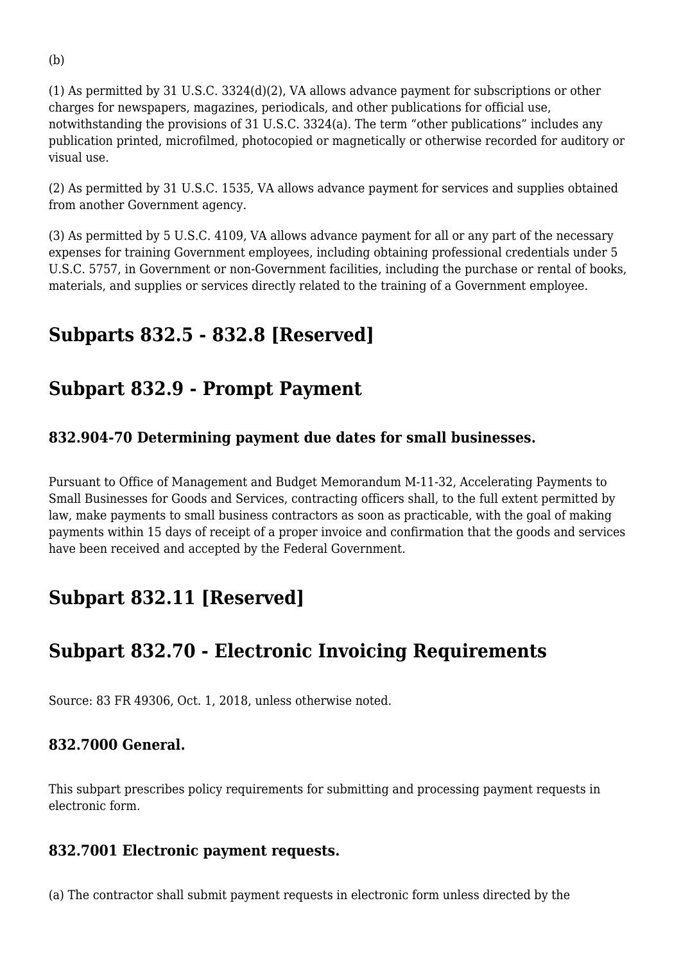(1) As permitted by 31 U.S.C. 3324(d)(2), VA allows advance payment for subscriptions or other charges for newspapers, magazines, periodicals, and other publications for official use, notwithstanding the provisions of 31 U.S.C. 3324(a). The term "other publications" includes any publication printed, microfilmed, photocopied or magnetically or otherwise recorded for auditory or visual use.

(2) As permitted by 31 U.S.C. 1535, VA allows advance payment for services and supplies obtained from another Government agency.

(3) As permitted by 5 U.S.C. 4109, VA allows advance payment for all or any part of the necessary expenses for training Government employees, including obtaining professional credentials under 5 U.S.C. 5757, in Government or non-Government facilities, including the purchase or rental of books, materials, and supplies or services directly related to the training of a Government employee.

# **Subparts 832.5 - 832.8 [Reserved]**

### **Subpart 832.9 - Prompt Payment**

#### **832.904-70 Determining payment due dates for small businesses.**

Pursuant to Office of Management and Budget Memorandum M-11-32, Accelerating Payments to Small Businesses for Goods and Services, contracting officers shall, to the full extent permitted by law, make payments to small business contractors as soon as practicable, with the goal of making payments within 15 days of receipt of a proper invoice and confirmation that the goods and services have been received and accepted by the Federal Government.

# **Subpart 832.11 [Reserved]**

### **Subpart 832.70 - Electronic Invoicing Requirements**

Source: 83 FR 49306, Oct. 1, 2018, unless otherwise noted.

#### **832.7000 General.**

This subpart prescribes policy requirements for submitting and processing payment requests in electronic form.

#### **832.7001 Electronic payment requests.**

(a) The contractor shall submit payment requests in electronic form unless directed by the